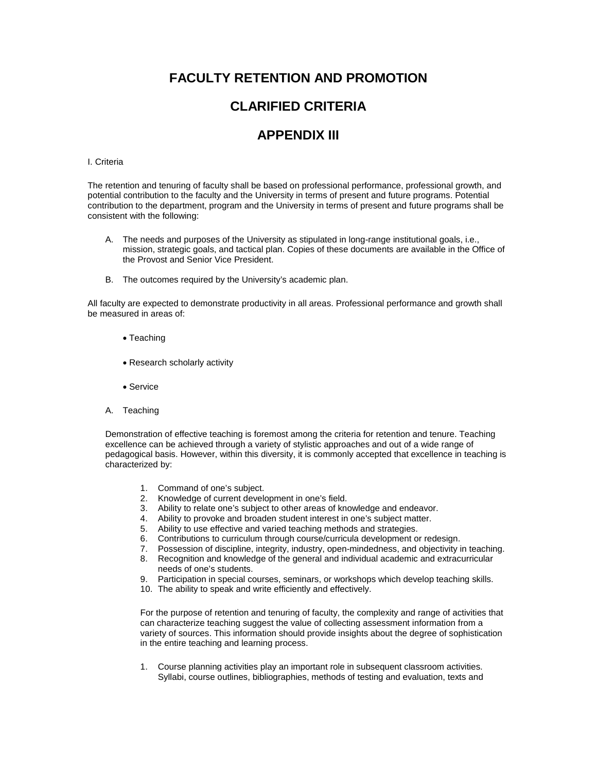# **FACULTY RETENTION AND PROMOTION**

# **CLARIFIED CRITERIA**

## **APPENDIX III**

### I. Criteria

The retention and tenuring of faculty shall be based on professional performance, professional growth, and potential contribution to the faculty and the University in terms of present and future programs. Potential contribution to the department, program and the University in terms of present and future programs shall be consistent with the following:

- A. The needs and purposes of the University as stipulated in long-range institutional goals, i.e., mission, strategic goals, and tactical plan. Copies of these documents are available in the Office of the Provost and Senior Vice President.
- B. The outcomes required by the University's academic plan.

All faculty are expected to demonstrate productivity in all areas. Professional performance and growth shall be measured in areas of:

- Teaching
- Research scholarly activity
- Service
- A. Teaching

Demonstration of effective teaching is foremost among the criteria for retention and tenure. Teaching excellence can be achieved through a variety of stylistic approaches and out of a wide range of pedagogical basis. However, within this diversity, it is commonly accepted that excellence in teaching is characterized by:

- 1. Command of one's subject.<br>2. Knowledge of current devel
- 2. Knowledge of current development in one's field.<br>3. Ability to relate one's subject to other areas of know
- 3. Ability to relate one's subject to other areas of knowledge and endeavor.<br>4. Ability to provoke and broaden student interest in one's subject matter.
- 4. Ability to provoke and broaden student interest in one's subject matter.<br>5. Ability to use effective and varied teaching methods and strategies
- 5. Ability to use effective and varied teaching methods and strategies.<br>6. Contributions to curriculum through course/curricula development of
- Contributions to curriculum through course/curricula development or redesign.
- 7. Possession of discipline, integrity, industry, open-mindedness, and objectivity in teaching.
- 8. Recognition and knowledge of the general and individual academic and extracurricular needs of one's students.
- 9. Participation in special courses, seminars, or workshops which develop teaching skills.
- 10. The ability to speak and write efficiently and effectively.

For the purpose of retention and tenuring of faculty, the complexity and range of activities that can characterize teaching suggest the value of collecting assessment information from a variety of sources. This information should provide insights about the degree of sophistication in the entire teaching and learning process.

1. Course planning activities play an important role in subsequent classroom activities. Syllabi, course outlines, bibliographies, methods of testing and evaluation, texts and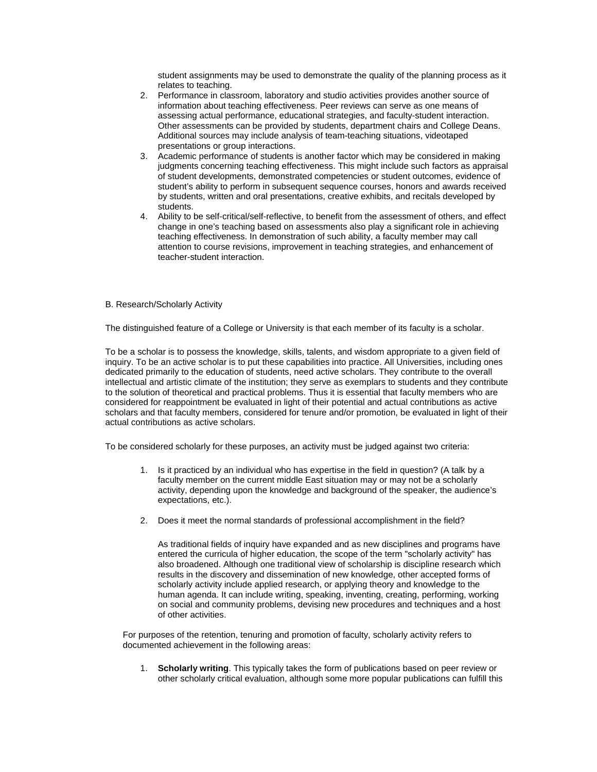student assignments may be used to demonstrate the quality of the planning process as it relates to teaching.

- 2. Performance in classroom, laboratory and studio activities provides another source of information about teaching effectiveness. Peer reviews can serve as one means of assessing actual performance, educational strategies, and faculty-student interaction. Other assessments can be provided by students, department chairs and College Deans. Additional sources may include analysis of team-teaching situations, videotaped presentations or group interactions.
- 3. Academic performance of students is another factor which may be considered in making judgments concerning teaching effectiveness. This might include such factors as appraisal of student developments, demonstrated competencies or student outcomes, evidence of student's ability to perform in subsequent sequence courses, honors and awards received by students, written and oral presentations, creative exhibits, and recitals developed by students.
- 4. Ability to be self-critical/self-reflective, to benefit from the assessment of others, and effect change in one's teaching based on assessments also play a significant role in achieving teaching effectiveness. In demonstration of such ability, a faculty member may call attention to course revisions, improvement in teaching strategies, and enhancement of teacher-student interaction.

#### B. Research/Scholarly Activity

The distinguished feature of a College or University is that each member of its faculty is a scholar.

To be a scholar is to possess the knowledge, skills, talents, and wisdom appropriate to a given field of inquiry. To be an active scholar is to put these capabilities into practice. All Universities, including ones dedicated primarily to the education of students, need active scholars. They contribute to the overall intellectual and artistic climate of the institution; they serve as exemplars to students and they contribute to the solution of theoretical and practical problems. Thus it is essential that faculty members who are considered for reappointment be evaluated in light of their potential and actual contributions as active scholars and that faculty members, considered for tenure and/or promotion, be evaluated in light of their actual contributions as active scholars.

To be considered scholarly for these purposes, an activity must be judged against two criteria:

- 1. Is it practiced by an individual who has expertise in the field in question? (A talk by a faculty member on the current middle East situation may or may not be a scholarly activity, depending upon the knowledge and background of the speaker, the audience's expectations, etc.).
- 2. Does it meet the normal standards of professional accomplishment in the field?

As traditional fields of inquiry have expanded and as new disciplines and programs have entered the curricula of higher education, the scope of the term "scholarly activity" has also broadened. Although one traditional view of scholarship is discipline research which results in the discovery and dissemination of new knowledge, other accepted forms of scholarly activity include applied research, or applying theory and knowledge to the human agenda. It can include writing, speaking, inventing, creating, performing, working on social and community problems, devising new procedures and techniques and a host of other activities.

For purposes of the retention, tenuring and promotion of faculty, scholarly activity refers to documented achievement in the following areas:

1. **Scholarly writing**. This typically takes the form of publications based on peer review or other scholarly critical evaluation, although some more popular publications can fulfill this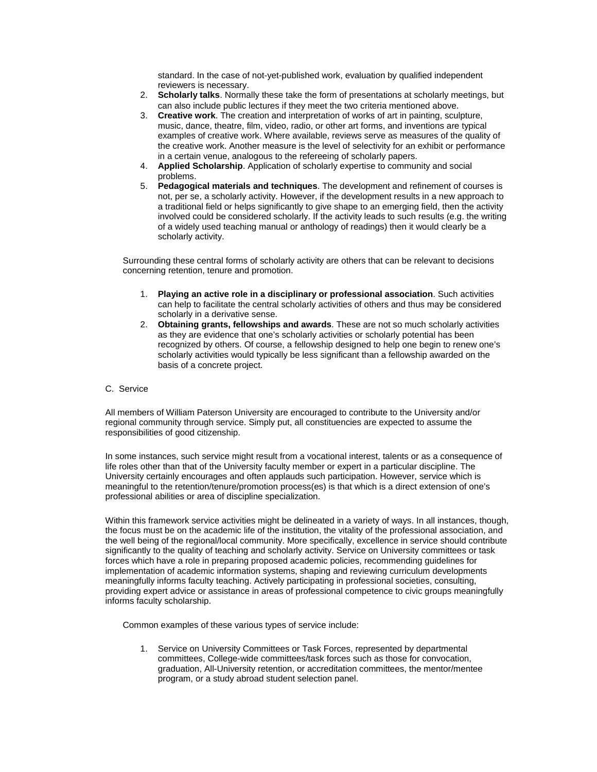standard. In the case of not-yet-published work, evaluation by qualified independent reviewers is necessary.

- 2. **Scholarly talks**. Normally these take the form of presentations at scholarly meetings, but can also include public lectures if they meet the two criteria mentioned above.
- 3. **Creative work**. The creation and interpretation of works of art in painting, sculpture, music, dance, theatre, film, video, radio, or other art forms, and inventions are typical examples of creative work. Where available, reviews serve as measures of the quality of the creative work. Another measure is the level of selectivity for an exhibit or performance in a certain venue, analogous to the refereeing of scholarly papers.
- 4. **Applied Scholarship**. Application of scholarly expertise to community and social problems.
- 5. **Pedagogical materials and techniques**. The development and refinement of courses is not, per se, a scholarly activity. However, if the development results in a new approach to a traditional field or helps significantly to give shape to an emerging field, then the activity involved could be considered scholarly. If the activity leads to such results (e.g. the writing of a widely used teaching manual or anthology of readings) then it would clearly be a scholarly activity.

Surrounding these central forms of scholarly activity are others that can be relevant to decisions concerning retention, tenure and promotion.

- 1. **Playing an active role in a disciplinary or professional association**. Such activities can help to facilitate the central scholarly activities of others and thus may be considered scholarly in a derivative sense.
- 2. **Obtaining grants, fellowships and awards**. These are not so much scholarly activities as they are evidence that one's scholarly activities or scholarly potential has been recognized by others. Of course, a fellowship designed to help one begin to renew one's scholarly activities would typically be less significant than a fellowship awarded on the basis of a concrete project.
- C. Service

All members of William Paterson University are encouraged to contribute to the University and/or regional community through service. Simply put, all constituencies are expected to assume the responsibilities of good citizenship.

In some instances, such service might result from a vocational interest, talents or as a consequence of life roles other than that of the University faculty member or expert in a particular discipline. The University certainly encourages and often applauds such participation. However, service which is meaningful to the retention/tenure/promotion process(es) is that which is a direct extension of one's professional abilities or area of discipline specialization.

Within this framework service activities might be delineated in a variety of ways. In all instances, though, the focus must be on the academic life of the institution, the vitality of the professional association, and the well being of the regional/local community. More specifically, excellence in service should contribute significantly to the quality of teaching and scholarly activity. Service on University committees or task forces which have a role in preparing proposed academic policies, recommending guidelines for implementation of academic information systems, shaping and reviewing curriculum developments meaningfully informs faculty teaching. Actively participating in professional societies, consulting, providing expert advice or assistance in areas of professional competence to civic groups meaningfully informs faculty scholarship.

Common examples of these various types of service include:

1. Service on University Committees or Task Forces, represented by departmental committees, College-wide committees/task forces such as those for convocation, graduation, All-University retention, or accreditation committees, the mentor/mentee program, or a study abroad student selection panel.